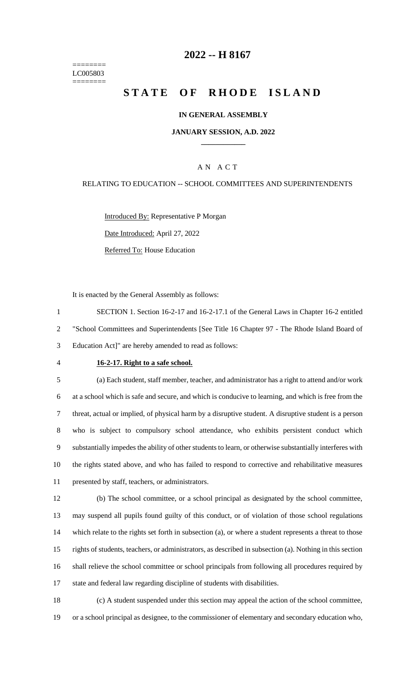======== LC005803 ========

# **-- H 8167**

# **STATE OF RHODE ISLAND**

#### **IN GENERAL ASSEMBLY**

#### **JANUARY SESSION, A.D. 2022 \_\_\_\_\_\_\_\_\_\_\_\_**

### A N A C T

#### RELATING TO EDUCATION -- SCHOOL COMMITTEES AND SUPERINTENDENTS

Introduced By: Representative P Morgan Date Introduced: April 27, 2022 Referred To: House Education

It is enacted by the General Assembly as follows:

 SECTION 1. Section 16-2-17 and 16-2-17.1 of the General Laws in Chapter 16-2 entitled "School Committees and Superintendents [See Title 16 Chapter 97 - The Rhode Island Board of Education Act]" are hereby amended to read as follows:

#### **16-2-17. Right to a safe school.**

 (a) Each student, staff member, teacher, and administrator has a right to attend and/or work at a school which is safe and secure, and which is conducive to learning, and which is free from the threat, actual or implied, of physical harm by a disruptive student. A disruptive student is a person who is subject to compulsory school attendance, who exhibits persistent conduct which substantially impedes the ability of other students to learn, or otherwise substantially interferes with the rights stated above, and who has failed to respond to corrective and rehabilitative measures presented by staff, teachers, or administrators.

 (b) The school committee, or a school principal as designated by the school committee, may suspend all pupils found guilty of this conduct, or of violation of those school regulations which relate to the rights set forth in subsection (a), or where a student represents a threat to those rights of students, teachers, or administrators, as described in subsection (a). Nothing in this section shall relieve the school committee or school principals from following all procedures required by state and federal law regarding discipline of students with disabilities.

 (c) A student suspended under this section may appeal the action of the school committee, or a school principal as designee, to the commissioner of elementary and secondary education who,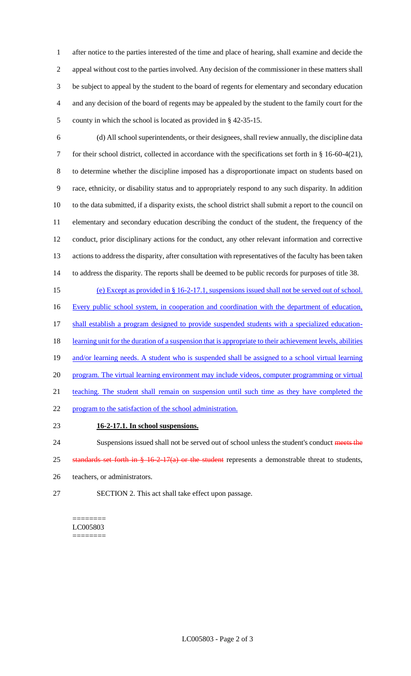after notice to the parties interested of the time and place of hearing, shall examine and decide the appeal without cost to the parties involved. Any decision of the commissioner in these matters shall be subject to appeal by the student to the board of regents for elementary and secondary education and any decision of the board of regents may be appealed by the student to the family court for the county in which the school is located as provided in § 42-35-15.

 (d) All school superintendents, or their designees, shall review annually, the discipline data for their school district, collected in accordance with the specifications set forth in § 16-60-4(21), to determine whether the discipline imposed has a disproportionate impact on students based on race, ethnicity, or disability status and to appropriately respond to any such disparity. In addition to the data submitted, if a disparity exists, the school district shall submit a report to the council on elementary and secondary education describing the conduct of the student, the frequency of the conduct, prior disciplinary actions for the conduct, any other relevant information and corrective actions to address the disparity, after consultation with representatives of the faculty has been taken to address the disparity. The reports shall be deemed to be public records for purposes of title 38.

 (e) Except as provided in § 16-2-17.1, suspensions issued shall not be served out of school. 16 Every public school system, in cooperation and coordination with the department of education, 17 shall establish a program designed to provide suspended students with a specialized education-18 learning unit for the duration of a suspension that is appropriate to their achievement levels, abilities 19 and/or learning needs. A student who is suspended shall be assigned to a school virtual learning 20 program. The virtual learning environment may include videos, computer programming or virtual teaching. The student shall remain on suspension until such time as they have completed the program to the satisfaction of the school administration.

**16-2-17.1. In school suspensions.**

24 Suspensions issued shall not be served out of school unless the student's conduct meets the 25 standards set forth in § 16-2-17(a) or the student represents a demonstrable threat to students, teachers, or administrators.

SECTION 2. This act shall take effect upon passage.

======== LC005803 ========